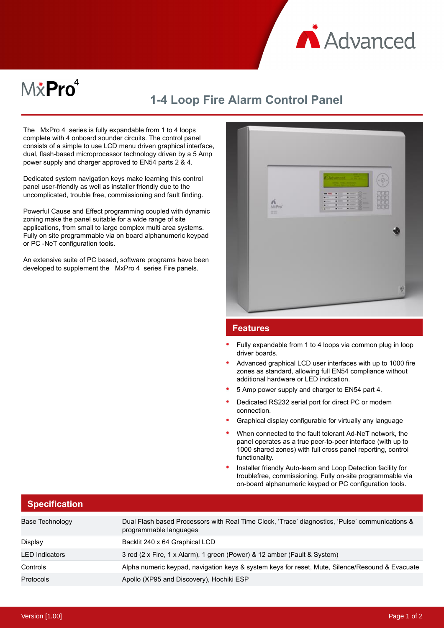

## $M\ddot{x}$ Pro $^4$

## **1-4 Loop Fire Alarm Control Panel**

The MxPro 4 series is fully expandable from 1 to 4 loops complete with 4 onboard sounder circuits. The control panel consists of a simple to use LCD menu driven graphical interface, dual, flash-based microprocessor technology driven by a 5 Amp power supply and charger approved to EN54 parts 2 & 4.

Dedicated system navigation keys make learning this control panel user-friendly as well as installer friendly due to the uncomplicated, trouble free, commissioning and fault finding.

Powerful Cause and Effect programming coupled with dynamic zoning make the panel suitable for a wide range of site applications, from small to large complex multi area systems. Fully on site programmable via on board alphanumeric keypad or PC -NeT configuration tools.

An extensive suite of PC based, software programs have been developed to supplement the MxPro 4 series Fire panels.



## **Features**

- Fully expandable from 1 to 4 loops via common plug in loop driver boards.
- Advanced graphical LCD user interfaces with up to 1000 fire zones as standard, allowing full EN54 compliance without additional hardware or LED indication.
- 5 Amp power supply and charger to EN54 part 4.
- Dedicated RS232 serial port for direct PC or modem connection.
- Graphical display configurable for virtually any language
- When connected to the fault tolerant Ad-NeT network, the panel operates as a true peer-to-peer interface (with up to 1000 shared zones) with full cross panel reporting, control functionality.
- Installer friendly Auto-learn and Loop Detection facility for troublefree, commissioning. Fully on-site programmable via on-board alphanumeric keypad or PC configuration tools.

|  |  | <b>Specification</b> |  |  |
|--|--|----------------------|--|--|
|  |  |                      |  |  |

| Base Technology       | Dual Flash based Processors with Real Time Clock, 'Trace' diagnostics, 'Pulse' communications &<br>programmable languages |
|-----------------------|---------------------------------------------------------------------------------------------------------------------------|
| Display               | Backlit 240 x 64 Graphical LCD                                                                                            |
| <b>LED</b> Indicators | 3 red (2 x Fire, 1 x Alarm), 1 green (Power) & 12 amber (Fault & System)                                                  |
| Controls              | Alpha numeric keypad, navigation keys & system keys for reset, Mute, Silence/Resound & Evacuate                           |
| <b>Protocols</b>      | Apollo (XP95 and Discovery), Hochiki ESP                                                                                  |